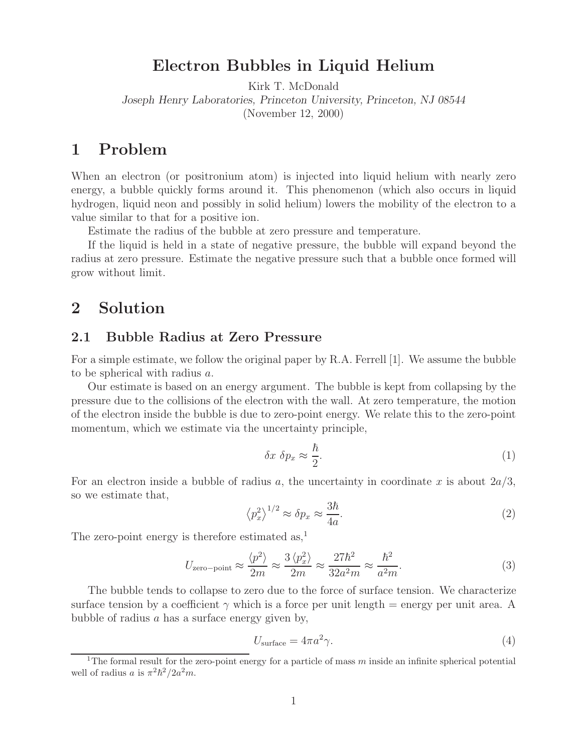### **Electron Bubbles in Liquid Helium**

Kirk T. McDonald

*Joseph Henry Laboratories, Princeton University, Princeton, NJ 08544*

(November 12, 2000)

## **1 Problem**

When an electron (or positronium atom) is injected into liquid helium with nearly zero energy, a bubble quickly forms around it. This phenomenon (which also occurs in liquid hydrogen, liquid neon and possibly in solid helium) lowers the mobility of the electron to a value similar to that for a positive ion.

Estimate the radius of the bubble at zero pressure and temperature.

If the liquid is held in a state of negative pressure, the bubble will expand beyond the radius at zero pressure. Estimate the negative pressure such that a bubble once formed will grow without limit.

### **2 Solution**

### **2.1 Bubble Radius at Zero Pressure**

For a simple estimate, we follow the original paper by R.A. Ferrell [1]. We assume the bubble to be spherical with radius a.

Our estimate is based on an energy argument. The bubble is kept from collapsing by the pressure due to the collisions of the electron with the wall. At zero temperature, the motion of the electron inside the bubble is due to zero-point energy. We relate this to the zero-point momentum, which we estimate via the uncertainty principle,

$$
\delta x \ \delta p_x \approx \frac{\hbar}{2}.\tag{1}
$$

For an electron inside a bubble of radius a, the uncertainty in coordinate x is about  $2a/3$ , so we estimate that,

$$
\left\langle p_x^2 \right\rangle^{1/2} \approx \delta p_x \approx \frac{3\hbar}{4a}.\tag{2}
$$

The zero-point energy is therefore estimated as,<sup>1</sup>

$$
U_{\text{zero-point}} \approx \frac{\langle p^2 \rangle}{2m} \approx \frac{3 \langle p_x^2 \rangle}{2m} \approx \frac{27\hbar^2}{32a^2m} \approx \frac{\hbar^2}{a^2m}.
$$
 (3)

The bubble tends to collapse to zero due to the force of surface tension. We characterize surface tension by a coefficient  $\gamma$  which is a force per unit length = energy per unit area. A bubble of radius  $a$  has a surface energy given by,

$$
U_{\text{surface}} = 4\pi a^2 \gamma. \tag{4}
$$

<sup>&</sup>lt;sup>1</sup>The formal result for the zero-point energy for a particle of mass m inside an infinite spherical potential well of radius a is  $\pi^2 \hbar^2 / 2a^2 m$ .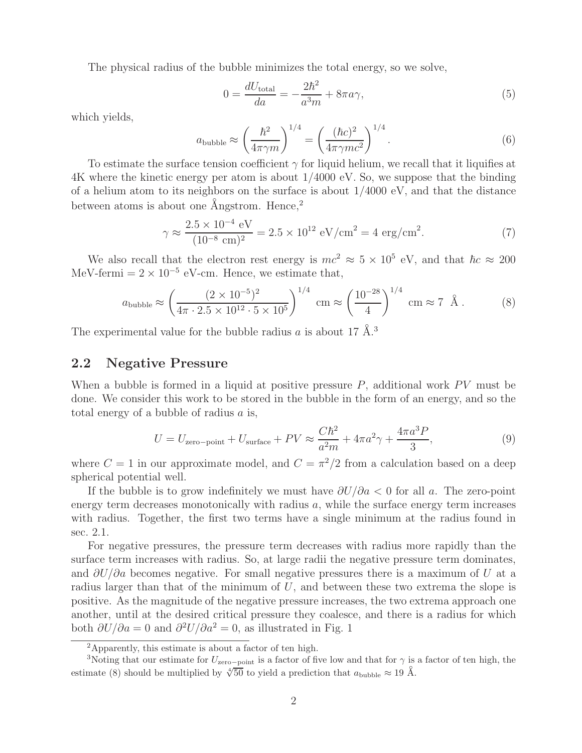The physical radius of the bubble minimizes the total energy, so we solve,

$$
0 = \frac{dU_{\text{total}}}{da} = -\frac{2\hbar^2}{a^3m} + 8\pi a\gamma,\tag{5}
$$

which yields,

$$
a_{\text{bubble}} \approx \left(\frac{\hbar^2}{4\pi\gamma m}\right)^{1/4} = \left(\frac{(\hbar c)^2}{4\pi\gamma mc^2}\right)^{1/4}.\tag{6}
$$

To estimate the surface tension coefficient  $\gamma$  for liquid helium, we recall that it liquifies at 4K where the kinetic energy per atom is about 1/4000 eV. So, we suppose that the binding of a helium atom to its neighbors on the surface is about  $1/4000 \text{ eV}$ , and that the distance between atoms is about one  $\AA$ ngstrom. Hence,<sup>2</sup>

$$
\gamma \approx \frac{2.5 \times 10^{-4} \text{ eV}}{(10^{-8} \text{ cm})^2} = 2.5 \times 10^{12} \text{ eV/cm}^2 = 4 \text{ erg/cm}^2.
$$
 (7)

We also recall that the electron rest energy is  $mc^2 \approx 5 \times 10^5$  eV, and that  $\hbar c \approx 200$ MeV-fermi =  $2 \times 10^{-5}$  eV-cm. Hence, we estimate that,

$$
a_{\text{bubble}} \approx \left(\frac{(2 \times 10^{-5})^2}{4\pi \cdot 2.5 \times 10^{12} \cdot 5 \times 10^5}\right)^{1/4} \text{ cm} \approx \left(\frac{10^{-28}}{4}\right)^{1/4} \text{ cm} \approx 7 \text{ \AA}. \tag{8}
$$

The experimental value for the bubble radius a is about 17  $\AA$ <sup>3</sup>

#### **2.2 Negative Pressure**

When a bubble is formed in a liquid at positive pressure  $P$ , additional work  $PV$  must be done. We consider this work to be stored in the bubble in the form of an energy, and so the total energy of a bubble of radius a is,

$$
U = U_{\text{zero-point}} + U_{\text{surface}} + PV \approx \frac{C\hbar^2}{a^2m} + 4\pi a^2 \gamma + \frac{4\pi a^3 P}{3},\tag{9}
$$

where  $C = 1$  in our approximate model, and  $C = \pi^2/2$  from a calculation based on a deep spherical potential well.

If the bubble is to grow indefinitely we must have  $\frac{\partial U}{\partial a} < 0$  for all a. The zero-point energy term decreases monotonically with radius  $a$ , while the surface energy term increases with radius. Together, the first two terms have a single minimum at the radius found in sec. 2.1.

For negative pressures, the pressure term decreases with radius more rapidly than the surface term increases with radius. So, at large radii the negative pressure term dominates, and  $\partial U/\partial a$  becomes negative. For small negative pressures there is a maximum of U at a radius larger than that of the minimum of  $U$ , and between these two extrema the slope is positive. As the magnitude of the negative pressure increases, the two extrema approach one another, until at the desired critical pressure they coalesce, and there is a radius for which both  $\partial U/\partial a = 0$  and  $\partial^2 U/\partial a^2 = 0$ , as illustrated in Fig. 1

<sup>2</sup>Apparently, this estimate is about a factor of ten high.

<sup>&</sup>lt;sup>3</sup>Noting that our estimate for  $U_{\rm zero-point}$  is a factor of five low and that for  $\gamma$  is a factor of ten high, the estimate (8) should be multiplied by  $\sqrt[4]{50}$  to yield a prediction that  $a_{\text{bubble}} \approx 19 \text{ Å}.$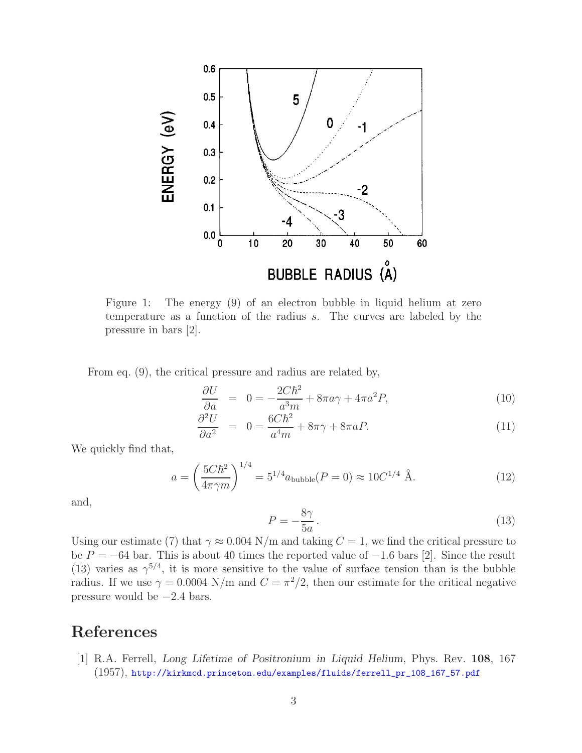

Figure 1: The energy (9) of an electron bubble in liquid helium at zero temperature as a function of the radius s. The curves are labeled by the pressure in bars [2].

From eq. (9), the critical pressure and radius are related by,

$$
\frac{\partial U}{\partial a} = 0 = -\frac{2C\hbar^2}{a^3m} + 8\pi a\gamma + 4\pi a^2 P,\tag{10}
$$

$$
\frac{\partial^2 U}{\partial a^2} = 0 = \frac{6C\hbar^2}{a^4 m} + 8\pi \gamma + 8\pi a P. \tag{11}
$$

We quickly find that,

$$
a = \left(\frac{5C\hbar^2}{4\pi\gamma m}\right)^{1/4} = 5^{1/4}a_{\text{bubble}}(P=0) \approx 10C^{1/4} \text{ Å.}
$$
 (12)

and,

$$
P = -\frac{8\gamma}{5a} \,. \tag{13}
$$

Using our estimate (7) that  $\gamma \approx 0.004 \text{ N/m}$  and taking  $C = 1$ , we find the critical pressure to be  $P = -64$  bar. This is about 40 times the reported value of  $-1.6$  bars [2]. Since the result (13) varies as  $\gamma^{5/4}$ , it is more sensitive to the value of surface tension than is the bubble radius. If we use  $\gamma = 0.0004$  N/m and  $C = \pi^2/2$ , then our estimate for the critical negative pressure would be  $-2.4$  bars.

# **References**

[1] R.A. Ferrell, *Long Lifetime of Positronium in Liquid Helium*, Phys. Rev. **108**, 167 (1957), http://kirkmcd.princeton.edu/examples/fluids/ferrell\_pr\_108\_167\_57.pdf